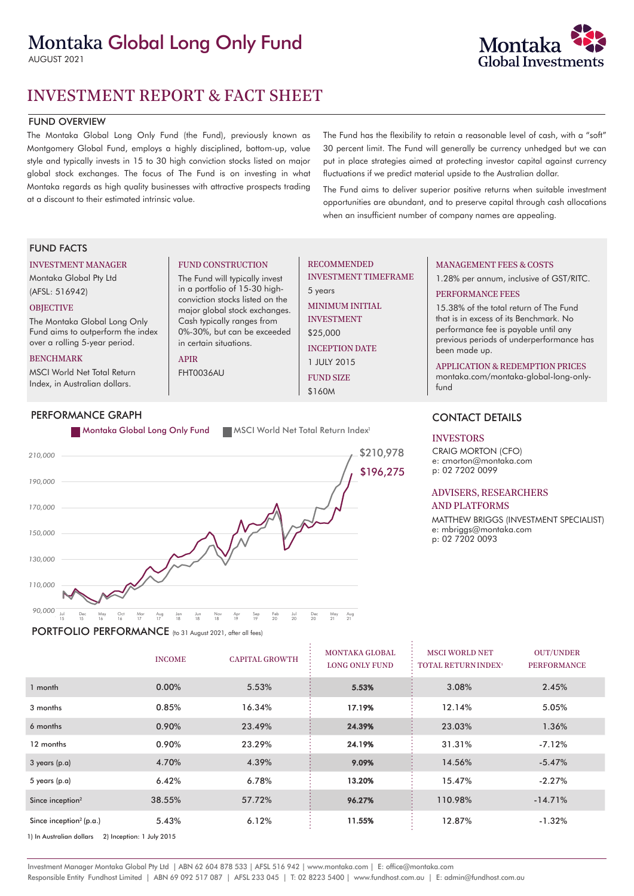# Montaka Global Long Only Fund

AUGUST 2021



## FUND OVERVIEW

The Montaka Global Long Only Fund (the Fund), previously known as Montgomery Global Fund, employs a highly disciplined, bottom-up, value style and typically invests in 15 to 30 high conviction stocks listed on major global stock exchanges. The focus of The Fund is on investing in what Montaka regards as high quality businesses with attractive prospects trading at a discount to their estimated intrinsic value.

The Fund has the flexibility to retain a reasonable level of cash, with a "soft" 30 percent limit. The Fund will generally be currency unhedged but we can put in place strategies aimed at protecting investor capital against currency fluctuations if we predict material upside to the Australian dollar.

The Fund aims to deliver superior positive returns when suitable investment opportunities are abundant, and to preserve capital through cash allocations when an insufficient number of company names are appealing.

## FUND FACTS

### INVESTMENT MANAGER

Montaka Global Pty Ltd (AFSL: 516942)

## **OBJECTIVE**

The Montaka Global Long Only Fund aims to outperform the index over a rolling 5-year period.

#### BENCHMARK

MSCI World Net Total Return Index, in Australian dollars.

# PERFORMANCE GRAPH

#### FUND CONSTRUCTION

The Fund will typically invest in a portfolio of 15-30 highconviction stocks listed on the major global stock exchanges. Cash typically ranges from 0%-30%, but can be exceeded in certain situations.

# APIR

FHT0036AU

# RECOMMENDED INVESTMENT TIMEFRAME

5 years MINIMUM INITIAL INVESTMENT \$25,000

> INCEPTION DATE 1 JULY 2015

FUND SIZE \$160M



PORTFOLIO PERFORMANCE (to 31 August 2021, after all fees)

# MANAGEMENT FEES & COSTS

1.28% per annum, inclusive of GST/RITC.

## PERFORMANCE FEES

15.38% of the total return of The Fund that is in excess of its Benchmark. No performance fee is payable until any previous periods of underperformance has been made up.

### APPLICATION & REDEMPTION PRICES

montaka.com/montaka-global-long-onlyfund

# CONTACT DETAILS

### INVESTORS

CRAIG MORTON (CFO) e: cmorton@montaka.com p: 02 7202 0099

#### ADVISERS, RESEARCHERS AND PLATFORMS

MATTHEW BRIGGS (INVESTMENT SPECIALIST) e: mbriggs@montaka.com p: 02 7202 0093

|                                                       | <b>INCOME</b> | <b>CAPITAL GROWTH</b> | <b>MONTAKA GLOBAL</b><br><b>LONG ONLY FUND</b> | <b>MSCI WORLD NET</b><br><b>TOTAL RETURN INDEX<sup>1</sup></b> | <b>OUT/UNDER</b><br><b>PERFORMANCE</b> |
|-------------------------------------------------------|---------------|-----------------------|------------------------------------------------|----------------------------------------------------------------|----------------------------------------|
| 1 month                                               | $0.00\%$      | 5.53%                 | 5.53%                                          | 3.08%                                                          | 2.45%                                  |
| 3 months                                              | 0.85%         | 16.34%                | 17.19%                                         | 12.14%                                                         | 5.05%                                  |
| 6 months                                              | 0.90%         | 23.49%                | 24.39%                                         | 23.03%                                                         | 1.36%                                  |
| 12 months                                             | 0.90%         | 23.29%                | 24.19%                                         | 31.31%                                                         | $-7.12%$                               |
| 3 years (p.a)                                         | 4.70%         | 4.39%                 | 9.09%                                          | 14.56%                                                         | $-5.47%$                               |
| 5 years (p.a)                                         | 6.42%         | 6.78%                 | 13.20%                                         | 15.47%                                                         | $-2.27%$                               |
| Since inception <sup>2</sup>                          | 38.55%        | 57.72%                | 96.27%                                         | 110.98%                                                        | $-14.71%$                              |
| Since inception <sup>2</sup> (p.a.)                   | 5.43%         | 6.12%                 | 11.55%                                         | 12.87%                                                         | $-1.32%$                               |
| 2) Inception: 1 July 2015<br>1) In Australian dollars |               |                       |                                                |                                                                |                                        |

Investment Manager Montaka Global Pty Ltd | ABN 62 604 878 533 | AFSL 516 942 | www.montaka.com | E: office@montaka.com Responsible Entity Fundhost Limited | ABN 69 092 517 087 | AFSL 233 045 | T: 02 8223 5400 | www.fundhost.com.au | E: admin@fundhost.com.au